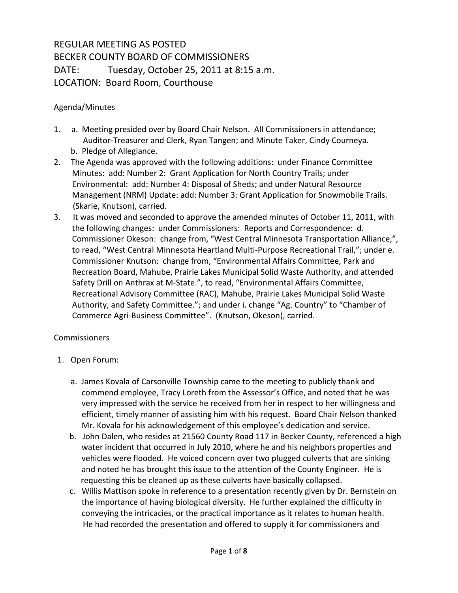## REGULAR MEETING AS POSTED BECKER COUNTY BOARD OF COMMISSIONERS DATE: Tuesday, October 25, 2011 at 8:15 a.m. LOCATION: Board Room, Courthouse

## Agenda/Minutes

- 1. a. Meeting presided over by Board Chair Nelson. All Commissioners in attendance; Auditor-Treasurer and Clerk, Ryan Tangen; and Minute Taker, Cindy Courneya. b. Pledge of Allegiance.
- 2. The Agenda was approved with the following additions: under Finance Committee Minutes: add: Number 2: Grant Application for North Country Trails; under Environmental: add: Number 4: Disposal of Sheds; and under Natural Resource Management (NRM) Update: add: Number 3: Grant Application for Snowmobile Trails. (Skarie, Knutson), carried.
- 3. It was moved and seconded to approve the amended minutes of October 11, 2011, with the following changes: under Commissioners: Reports and Correspondence: d. Commissioner Okeson: change from, "West Central Minnesota Transportation Alliance,", to read, "West Central Minnesota Heartland Multi-Purpose Recreational Trail,"; under e. Commissioner Knutson: change from, "Environmental Affairs Committee, Park and Recreation Board, Mahube, Prairie Lakes Municipal Solid Waste Authority, and attended Safety Drill on Anthrax at M-State.", to read, "Environmental Affairs Committee, Recreational Advisory Committee (RAC), Mahube, Prairie Lakes Municipal Solid Waste Authority, and Safety Committee."; and under i. change "Ag. Country" to "Chamber of Commerce Agri-Business Committee". (Knutson, Okeson), carried.

## **Commissioners**

- 1. Open Forum:
	- a. James Kovala of Carsonville Township came to the meeting to publicly thank and commend employee, Tracy Loreth from the Assessor's Office, and noted that he was very impressed with the service he received from her in respect to her willingness and efficient, timely manner of assisting him with his request. Board Chair Nelson thanked Mr. Kovala for his acknowledgement of this employee's dedication and service.
	- b. John Dalen, who resides at 21560 County Road 117 in Becker County, referenced a high water incident that occurred in July 2010, where he and his neighbors properties and vehicles were flooded. He voiced concern over two plugged culverts that are sinking and noted he has brought this issue to the attention of the County Engineer. He is requesting this be cleaned up as these culverts have basically collapsed.
	- c. Willis Mattison spoke in reference to a presentation recently given by Dr. Bernstein on the importance of having biological diversity. He further explained the difficulty in conveying the intricacies, or the practical importance as it relates to human health. He had recorded the presentation and offered to supply it for commissioners and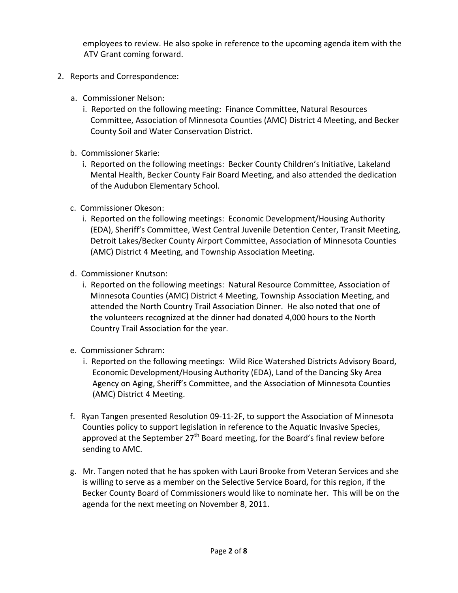employees to review. He also spoke in reference to the upcoming agenda item with the ATV Grant coming forward.

- 2. Reports and Correspondence:
	- a. Commissioner Nelson:
		- i. Reported on the following meeting: Finance Committee, Natural Resources Committee, Association of Minnesota Counties (AMC) District 4 Meeting, and Becker County Soil and Water Conservation District.
	- b. Commissioner Skarie:
		- i. Reported on the following meetings: Becker County Children's Initiative, Lakeland Mental Health, Becker County Fair Board Meeting, and also attended the dedication of the Audubon Elementary School.
	- c. Commissioner Okeson:
		- i. Reported on the following meetings: Economic Development/Housing Authority (EDA), Sheriff's Committee, West Central Juvenile Detention Center, Transit Meeting, Detroit Lakes/Becker County Airport Committee, Association of Minnesota Counties (AMC) District 4 Meeting, and Township Association Meeting.
	- d. Commissioner Knutson:
		- i. Reported on the following meetings: Natural Resource Committee, Association of Minnesota Counties (AMC) District 4 Meeting, Township Association Meeting, and attended the North Country Trail Association Dinner. He also noted that one of the volunteers recognized at the dinner had donated 4,000 hours to the North Country Trail Association for the year.
	- e. Commissioner Schram:
		- i. Reported on the following meetings: Wild Rice Watershed Districts Advisory Board, Economic Development/Housing Authority (EDA), Land of the Dancing Sky Area Agency on Aging, Sheriff's Committee, and the Association of Minnesota Counties (AMC) District 4 Meeting.
	- f. Ryan Tangen presented Resolution 09-11-2F, to support the Association of Minnesota Counties policy to support legislation in reference to the Aquatic Invasive Species, approved at the September 27<sup>th</sup> Board meeting, for the Board's final review before sending to AMC.
	- g. Mr. Tangen noted that he has spoken with Lauri Brooke from Veteran Services and she is willing to serve as a member on the Selective Service Board, for this region, if the Becker County Board of Commissioners would like to nominate her. This will be on the agenda for the next meeting on November 8, 2011.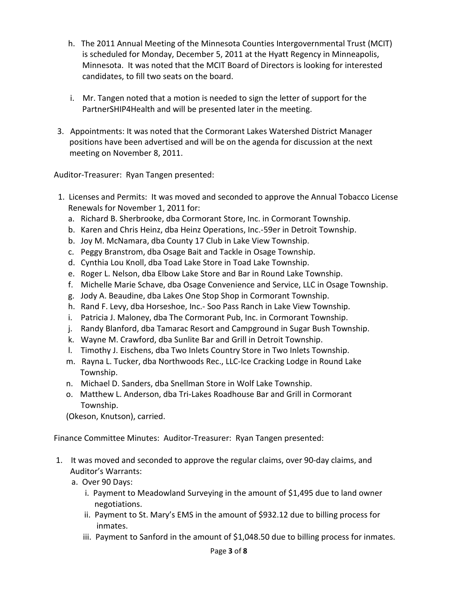- h. The 2011 Annual Meeting of the Minnesota Counties Intergovernmental Trust (MCIT) is scheduled for Monday, December 5, 2011 at the Hyatt Regency in Minneapolis, Minnesota. It was noted that the MCIT Board of Directors is looking for interested candidates, to fill two seats on the board.
- i. Mr. Tangen noted that a motion is needed to sign the letter of support for the PartnerSHIP4Health and will be presented later in the meeting.
- 3. Appointments: It was noted that the Cormorant Lakes Watershed District Manager positions have been advertised and will be on the agenda for discussion at the next meeting on November 8, 2011.

Auditor-Treasurer: Ryan Tangen presented:

- 1. Licenses and Permits: It was moved and seconded to approve the Annual Tobacco License Renewals for November 1, 2011 for:
	- a. Richard B. Sherbrooke, dba Cormorant Store, Inc. in Cormorant Township.
	- b. Karen and Chris Heinz, dba Heinz Operations, Inc.-59er in Detroit Township.
	- b. Joy M. McNamara, dba County 17 Club in Lake View Township.
	- c. Peggy Branstrom, dba Osage Bait and Tackle in Osage Township.
	- d. Cynthia Lou Knoll, dba Toad Lake Store in Toad Lake Township.
	- e. Roger L. Nelson, dba Elbow Lake Store and Bar in Round Lake Township.
	- f. Michelle Marie Schave, dba Osage Convenience and Service, LLC in Osage Township.
	- g. Jody A. Beaudine, dba Lakes One Stop Shop in Cormorant Township.
	- h. Rand F. Levy, dba Horseshoe, Inc.- Soo Pass Ranch in Lake View Township.
	- i. Patricia J. Maloney, dba The Cormorant Pub, Inc. in Cormorant Township.
	- j. Randy Blanford, dba Tamarac Resort and Campground in Sugar Bush Township.
	- k. Wayne M. Crawford, dba Sunlite Bar and Grill in Detroit Township.
	- l. Timothy J. Eischens, dba Two Inlets Country Store in Two Inlets Township.
	- m. Rayna L. Tucker, dba Northwoods Rec., LLC-Ice Cracking Lodge in Round Lake Township.
	- n. Michael D. Sanders, dba Snellman Store in Wolf Lake Township.
	- o. Matthew L. Anderson, dba Tri-Lakes Roadhouse Bar and Grill in Cormorant Township.

(Okeson, Knutson), carried.

Finance Committee Minutes: Auditor-Treasurer: Ryan Tangen presented:

- 1. It was moved and seconded to approve the regular claims, over 90-day claims, and Auditor's Warrants:
	- a. Over 90 Days:
		- i. Payment to Meadowland Surveying in the amount of \$1,495 due to land owner negotiations.
		- ii. Payment to St. Mary's EMS in the amount of \$932.12 due to billing process for inmates.
		- iii. Payment to Sanford in the amount of \$1,048.50 due to billing process for inmates.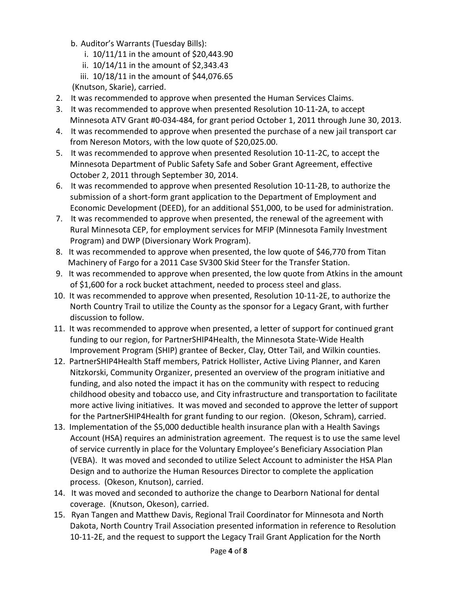- b. Auditor's Warrants (Tuesday Bills):
	- i. 10/11/11 in the amount of \$20,443.90
	- ii. 10/14/11 in the amount of \$2,343.43
	- iii. 10/18/11 in the amount of \$44,076.65
- (Knutson, Skarie), carried.
- 2. It was recommended to approve when presented the Human Services Claims.
- 3. It was recommended to approve when presented Resolution 10-11-2A, to accept Minnesota ATV Grant #0-034-484, for grant period October 1, 2011 through June 30, 2013.
- 4. It was recommended to approve when presented the purchase of a new jail transport car from Nereson Motors, with the low quote of \$20,025.00.
- 5. It was recommended to approve when presented Resolution 10-11-2C, to accept the Minnesota Department of Public Safety Safe and Sober Grant Agreement, effective October 2, 2011 through September 30, 2014.
- 6. It was recommended to approve when presented Resolution 10-11-2B, to authorize the submission of a short-form grant application to the Department of Employment and Economic Development (DEED), for an additional \$51,000, to be used for administration.
- 7. It was recommended to approve when presented, the renewal of the agreement with Rural Minnesota CEP, for employment services for MFIP (Minnesota Family Investment Program) and DWP (Diversionary Work Program).
- 8. It was recommended to approve when presented, the low quote of \$46,770 from Titan Machinery of Fargo for a 2011 Case SV300 Skid Steer for the Transfer Station.
- 9. It was recommended to approve when presented, the low quote from Atkins in the amount of \$1,600 for a rock bucket attachment, needed to process steel and glass.
- 10. It was recommended to approve when presented, Resolution 10-11-2E, to authorize the North Country Trail to utilize the County as the sponsor for a Legacy Grant, with further discussion to follow.
- 11. It was recommended to approve when presented, a letter of support for continued grant funding to our region, for PartnerSHIP4Health, the Minnesota State-Wide Health Improvement Program (SHIP) grantee of Becker, Clay, Otter Tail, and Wilkin counties.
- 12. PartnerSHIP4Health Staff members, Patrick Hollister, Active Living Planner, and Karen Nitzkorski, Community Organizer, presented an overview of the program initiative and funding, and also noted the impact it has on the community with respect to reducing childhood obesity and tobacco use, and City infrastructure and transportation to facilitate more active living initiatives. It was moved and seconded to approve the letter of support for the PartnerSHIP4Health for grant funding to our region. (Okeson, Schram), carried.
- 13. Implementation of the \$5,000 deductible health insurance plan with a Health Savings Account (HSA) requires an administration agreement. The request is to use the same level of service currently in place for the Voluntary Employee's Beneficiary Association Plan (VEBA). It was moved and seconded to utilize Select Account to administer the HSA Plan Design and to authorize the Human Resources Director to complete the application process. (Okeson, Knutson), carried.
- 14. It was moved and seconded to authorize the change to Dearborn National for dental coverage. (Knutson, Okeson), carried.
- 15. Ryan Tangen and Matthew Davis, Regional Trail Coordinator for Minnesota and North Dakota, North Country Trail Association presented information in reference to Resolution 10-11-2E, and the request to support the Legacy Trail Grant Application for the North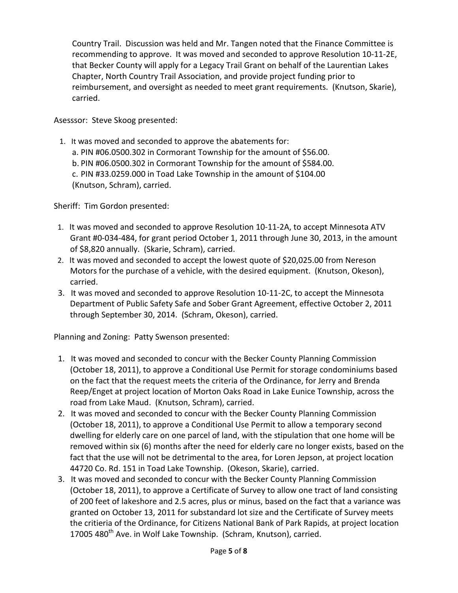Country Trail. Discussion was held and Mr. Tangen noted that the Finance Committee is recommending to approve. It was moved and seconded to approve Resolution 10-11-2E, that Becker County will apply for a Legacy Trail Grant on behalf of the Laurentian Lakes Chapter, North Country Trail Association, and provide project funding prior to reimbursement, and oversight as needed to meet grant requirements. (Knutson, Skarie), carried.

Asesssor: Steve Skoog presented:

 1. It was moved and seconded to approve the abatements for: a. PIN #06.0500.302 in Cormorant Township for the amount of \$56.00. b. PIN #06.0500.302 in Cormorant Township for the amount of \$584.00. c. PIN #33.0259.000 in Toad Lake Township in the amount of \$104.00 (Knutson, Schram), carried.

Sheriff: Tim Gordon presented:

- 1. It was moved and seconded to approve Resolution 10-11-2A, to accept Minnesota ATV Grant #0-034-484, for grant period October 1, 2011 through June 30, 2013, in the amount of \$8,820 annually. (Skarie, Schram), carried.
- 2. It was moved and seconded to accept the lowest quote of \$20,025.00 from Nereson Motors for the purchase of a vehicle, with the desired equipment. (Knutson, Okeson), carried.
- 3. It was moved and seconded to approve Resolution 10-11-2C, to accept the Minnesota Department of Public Safety Safe and Sober Grant Agreement, effective October 2, 2011 through September 30, 2014. (Schram, Okeson), carried.

Planning and Zoning: Patty Swenson presented:

- 1. It was moved and seconded to concur with the Becker County Planning Commission (October 18, 2011), to approve a Conditional Use Permit for storage condominiums based on the fact that the request meets the criteria of the Ordinance, for Jerry and Brenda Reep/Enget at project location of Morton Oaks Road in Lake Eunice Township, across the road from Lake Maud. (Knutson, Schram), carried.
- 2. It was moved and seconded to concur with the Becker County Planning Commission (October 18, 2011), to approve a Conditional Use Permit to allow a temporary second dwelling for elderly care on one parcel of land, with the stipulation that one home will be removed within six (6) months after the need for elderly care no longer exists, based on the fact that the use will not be detrimental to the area, for Loren Jepson, at project location 44720 Co. Rd. 151 in Toad Lake Township. (Okeson, Skarie), carried.
- 3. It was moved and seconded to concur with the Becker County Planning Commission (October 18, 2011), to approve a Certificate of Survey to allow one tract of land consisting of 200 feet of lakeshore and 2.5 acres, plus or minus, based on the fact that a variance was granted on October 13, 2011 for substandard lot size and the Certificate of Survey meets the critieria of the Ordinance, for Citizens National Bank of Park Rapids, at project location 17005 480<sup>th</sup> Ave. in Wolf Lake Township. (Schram, Knutson), carried.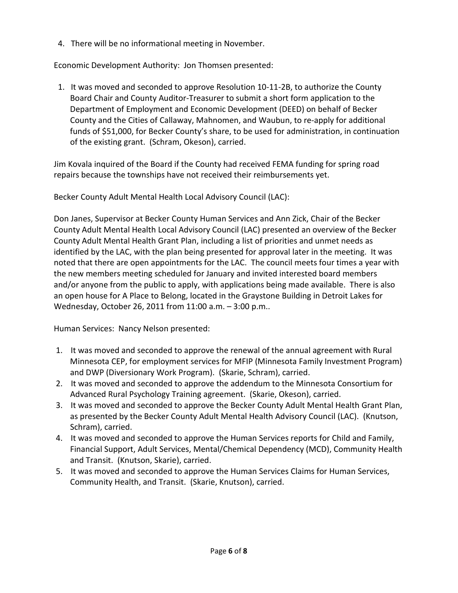4. There will be no informational meeting in November.

Economic Development Authority: Jon Thomsen presented:

 1. It was moved and seconded to approve Resolution 10-11-2B, to authorize the County Board Chair and County Auditor-Treasurer to submit a short form application to the Department of Employment and Economic Development (DEED) on behalf of Becker County and the Cities of Callaway, Mahnomen, and Waubun, to re-apply for additional funds of \$51,000, for Becker County's share, to be used for administration, in continuation of the existing grant. (Schram, Okeson), carried.

Jim Kovala inquired of the Board if the County had received FEMA funding for spring road repairs because the townships have not received their reimbursements yet.

Becker County Adult Mental Health Local Advisory Council (LAC):

Don Janes, Supervisor at Becker County Human Services and Ann Zick, Chair of the Becker County Adult Mental Health Local Advisory Council (LAC) presented an overview of the Becker County Adult Mental Health Grant Plan, including a list of priorities and unmet needs as identified by the LAC, with the plan being presented for approval later in the meeting. It was noted that there are open appointments for the LAC. The council meets four times a year with the new members meeting scheduled for January and invited interested board members and/or anyone from the public to apply, with applications being made available. There is also an open house for A Place to Belong, located in the Graystone Building in Detroit Lakes for Wednesday, October 26, 2011 from 11:00 a.m. – 3:00 p.m..

Human Services: Nancy Nelson presented:

- 1. It was moved and seconded to approve the renewal of the annual agreement with Rural Minnesota CEP, for employment services for MFIP (Minnesota Family Investment Program) and DWP (Diversionary Work Program). (Skarie, Schram), carried.
- 2. It was moved and seconded to approve the addendum to the Minnesota Consortium for Advanced Rural Psychology Training agreement. (Skarie, Okeson), carried.
- 3. It was moved and seconded to approve the Becker County Adult Mental Health Grant Plan, as presented by the Becker County Adult Mental Health Advisory Council (LAC). (Knutson, Schram), carried.
- 4. It was moved and seconded to approve the Human Services reports for Child and Family, Financial Support, Adult Services, Mental/Chemical Dependency (MCD), Community Health and Transit. (Knutson, Skarie), carried.
- 5. It was moved and seconded to approve the Human Services Claims for Human Services, Community Health, and Transit. (Skarie, Knutson), carried.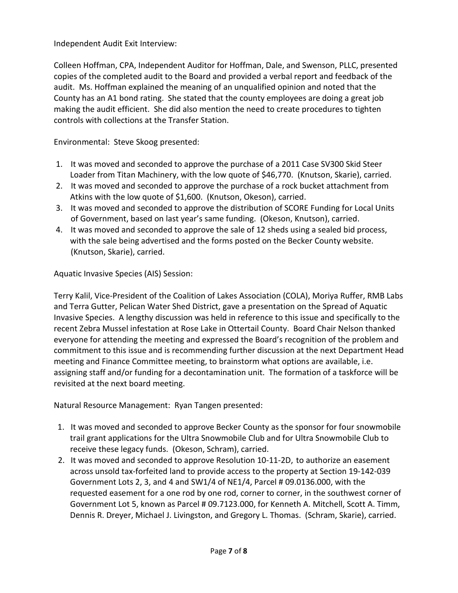Independent Audit Exit Interview:

Colleen Hoffman, CPA, Independent Auditor for Hoffman, Dale, and Swenson, PLLC, presented copies of the completed audit to the Board and provided a verbal report and feedback of the audit. Ms. Hoffman explained the meaning of an unqualified opinion and noted that the County has an A1 bond rating. She stated that the county employees are doing a great job making the audit efficient. She did also mention the need to create procedures to tighten controls with collections at the Transfer Station.

Environmental: Steve Skoog presented:

- 1. It was moved and seconded to approve the purchase of a 2011 Case SV300 Skid Steer Loader from Titan Machinery, with the low quote of \$46,770. (Knutson, Skarie), carried.
- 2. It was moved and seconded to approve the purchase of a rock bucket attachment from Atkins with the low quote of \$1,600. (Knutson, Okeson), carried.
- 3. It was moved and seconded to approve the distribution of SCORE Funding for Local Units of Government, based on last year's same funding. (Okeson, Knutson), carried.
- 4. It was moved and seconded to approve the sale of 12 sheds using a sealed bid process, with the sale being advertised and the forms posted on the Becker County website. (Knutson, Skarie), carried.

Aquatic Invasive Species (AIS) Session:

Terry Kalil, Vice-President of the Coalition of Lakes Association (COLA), Moriya Ruffer, RMB Labs and Terra Gutter, Pelican Water Shed District, gave a presentation on the Spread of Aquatic Invasive Species. A lengthy discussion was held in reference to this issue and specifically to the recent Zebra Mussel infestation at Rose Lake in Ottertail County. Board Chair Nelson thanked everyone for attending the meeting and expressed the Board's recognition of the problem and commitment to this issue and is recommending further discussion at the next Department Head meeting and Finance Committee meeting, to brainstorm what options are available, i.e. assigning staff and/or funding for a decontamination unit. The formation of a taskforce will be revisited at the next board meeting.

Natural Resource Management: Ryan Tangen presented:

- 1. It was moved and seconded to approve Becker County as the sponsor for four snowmobile trail grant applications for the Ultra Snowmobile Club and for Ultra Snowmobile Club to receive these legacy funds. (Okeson, Schram), carried.
- 2. It was moved and seconded to approve Resolution 10-11-2D, to authorize an easement across unsold tax-forfeited land to provide access to the property at Section 19-142-039 Government Lots 2, 3, and 4 and SW1/4 of NE1/4, Parcel # 09.0136.000, with the requested easement for a one rod by one rod, corner to corner, in the southwest corner of Government Lot 5, known as Parcel # 09.7123.000, for Kenneth A. Mitchell, Scott A. Timm, Dennis R. Dreyer, Michael J. Livingston, and Gregory L. Thomas. (Schram, Skarie), carried.